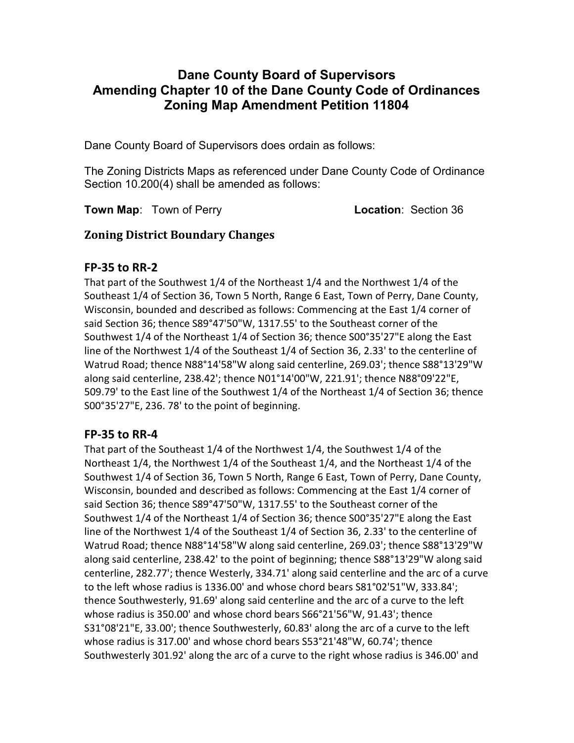# Dane County Board of Supervisors Amending Chapter 10 of the Dane County Code of Ordinances Zoning Map Amendment Petition 11804

Dane County Board of Supervisors does ordain as follows:

The Zoning Districts Maps as referenced under Dane County Code of Ordinance Section 10.200(4) shall be amended as follows:

Town Map: Town of Perry **Location: Section 36** 

## Zoning District Boundary Changes

#### FP-35 to RR-2

That part of the Southwest 1/4 of the Northeast 1/4 and the Northwest 1/4 of the Southeast 1/4 of Section 36, Town 5 North, Range 6 East, Town of Perry, Dane County, Wisconsin, bounded and described as follows: Commencing at the East 1/4 corner of said Section 36; thence S89°47'50"W, 1317.55' to the Southeast corner of the Southwest 1/4 of the Northeast 1/4 of Section 36; thence S00°35'27"E along the East line of the Northwest 1/4 of the Southeast 1/4 of Section 36, 2.33' to the centerline of Watrud Road; thence N88°14'58"W along said centerline, 269.03'; thence S88°13'29"W along said centerline, 238.42'; thence N01°14'00"W, 221.91'; thence N88°09'22"E, 509.79' to the East line of the Southwest 1/4 of the Northeast 1/4 of Section 36; thence S00°35'27"E, 236. 78' to the point of beginning.

## FP-35 to RR-4

That part of the Southeast 1/4 of the Northwest 1/4, the Southwest 1/4 of the Northeast 1/4, the Northwest 1/4 of the Southeast 1/4, and the Northeast 1/4 of the Southwest 1/4 of Section 36, Town 5 North, Range 6 East, Town of Perry, Dane County, Wisconsin, bounded and described as follows: Commencing at the East 1/4 corner of said Section 36; thence S89°47'50"W, 1317.55' to the Southeast corner of the Southwest 1/4 of the Northeast 1/4 of Section 36; thence S00°35'27"E along the East line of the Northwest 1/4 of the Southeast 1/4 of Section 36, 2.33' to the centerline of Watrud Road; thence N88°14'58"W along said centerline, 269.03'; thence S88°13'29"W along said centerline, 238.42' to the point of beginning; thence S88°13'29"W along said centerline, 282.77'; thence Westerly, 334.71' along said centerline and the arc of a curve to the left whose radius is 1336.00' and whose chord bears S81°02'51"W, 333.84'; thence Southwesterly, 91.69' along said centerline and the arc of a curve to the left whose radius is 350.00' and whose chord bears S66°21'56"W, 91.43'; thence S31°08'21"E, 33.00'; thence Southwesterly, 60.83' along the arc of a curve to the left whose radius is 317.00' and whose chord bears S53°21'48"W, 60.74'; thence Southwesterly 301.92' along the arc of a curve to the right whose radius is 346.00' and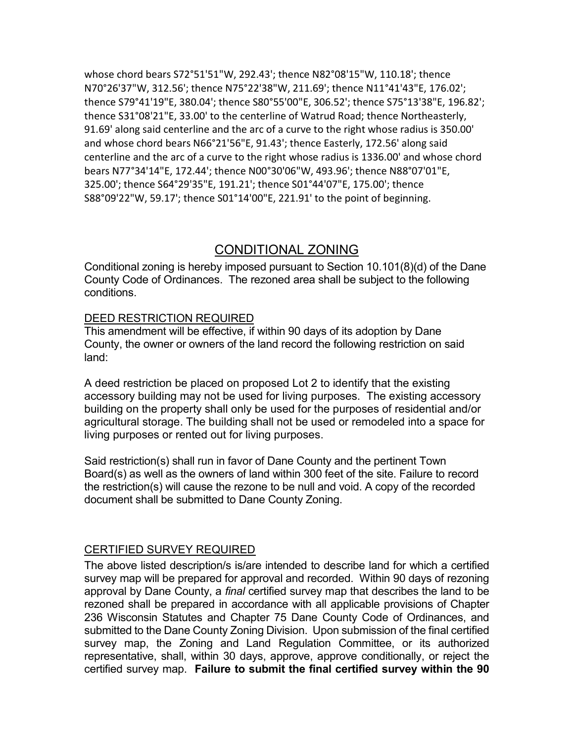whose chord bears S72°51'51"W, 292.43'; thence N82°08'15"W, 110.18'; thence N70°26'37"W, 312.56'; thence N75°22'38"W, 211.69'; thence N11°41'43"E, 176.02'; thence S79°41'19"E, 380.04'; thence S80°55'00"E, 306.52'; thence S75°13'38"E, 196.82'; thence S31°08'21"E, 33.00' to the centerline of Watrud Road; thence Northeasterly, 91.69' along said centerline and the arc of a curve to the right whose radius is 350.00' and whose chord bears N66°21'56"E, 91.43'; thence Easterly, 172.56' along said centerline and the arc of a curve to the right whose radius is 1336.00' and whose chord bears N77°34'14"E, 172.44'; thence N00°30'06"W, 493.96'; thence N88°07'01"E, 325.00'; thence S64°29'35"E, 191.21'; thence S01°44'07"E, 175.00'; thence S88°09'22"W, 59.17'; thence S01°14'00"E, 221.91' to the point of beginning.

## CONDITIONAL ZONING

Conditional zoning is hereby imposed pursuant to Section 10.101(8)(d) of the Dane County Code of Ordinances. The rezoned area shall be subject to the following conditions.

#### DEED RESTRICTION REQUIRED

This amendment will be effective, if within 90 days of its adoption by Dane County, the owner or owners of the land record the following restriction on said land:

A deed restriction be placed on proposed Lot 2 to identify that the existing accessory building may not be used for living purposes. The existing accessory building on the property shall only be used for the purposes of residential and/or agricultural storage. The building shall not be used or remodeled into a space for living purposes or rented out for living purposes.

Said restriction(s) shall run in favor of Dane County and the pertinent Town Board(s) as well as the owners of land within 300 feet of the site. Failure to record the restriction(s) will cause the rezone to be null and void. A copy of the recorded document shall be submitted to Dane County Zoning.

#### CERTIFIED SURVEY REQUIRED

The above listed description/s is/are intended to describe land for which a certified survey map will be prepared for approval and recorded. Within 90 days of rezoning approval by Dane County, a final certified survey map that describes the land to be rezoned shall be prepared in accordance with all applicable provisions of Chapter 236 Wisconsin Statutes and Chapter 75 Dane County Code of Ordinances, and submitted to the Dane County Zoning Division. Upon submission of the final certified survey map, the Zoning and Land Regulation Committee, or its authorized representative, shall, within 30 days, approve, approve conditionally, or reject the certified survey map. Failure to submit the final certified survey within the 90